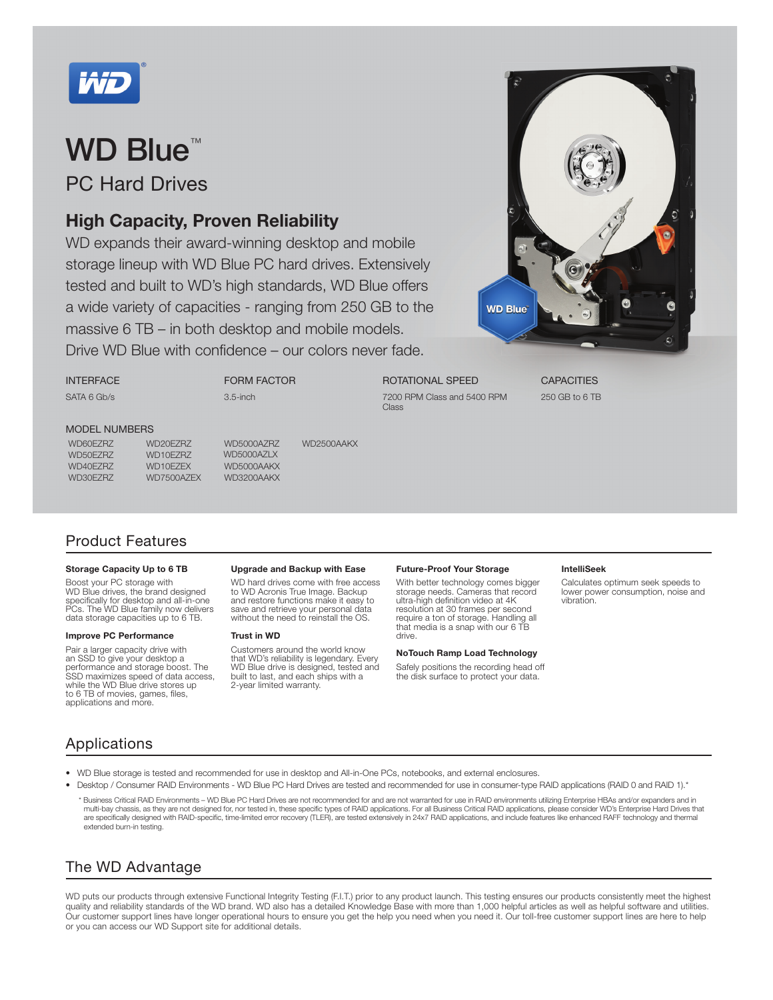

PC Hard Drives

### High Capacity, Proven Reliability

WD expands their award-winning desktop and mobile storage lineup with WD Blue PC hard drives. Extensively tested and built to WD's high standards, WD Blue offers a wide variety of capacities - ranging from 250 GB to the massive 6 TB – in both desktop and mobile models. Drive WD Blue with confidence – our colors never fade.

FORM FACTOR

3.5-inch



ROTATIONAL SPEED 7200 RPM Class and 5400 RPM Class

**CAPACITIES** 250 GB to 6 TB

#### MODEL NUMBERS

INTERFACE SATA 6 Gb/s

WD50EZRZ WD10EZRZ WD5000AZLX WD40EZRZ WD10EZEX WD5000AAKX WD30EZRZ WD7500AZEX WD3200AAKX

WD60EZRZ WD20EZRZ WD5000AZRZ WD2500AAKX

### Product Features

#### Storage Capacity Up to 6 TB

Boost your PC storage with WD Blue drives, the brand designed<br>specifically for desktop and all-in-one PCs. The WD Blue family now delivers data storage capacities up to 6 TB.

#### Improve PC Performance

Pair a larger capacity drive with an SSD to give your desktop a performance and storage boost. The SSD maximizes speed of data access, while the WD Blue drive stores up to 6 TB of movies, games, files, applications and more.

#### Upgrade and Backup with Ease

WD hard drives come with free access to WD Acronis True Image. Backup and restore functions make it easy to save and retrieve your personal data without the need to reinstall the OS.

#### Trust in WD

Customers around the world know that WD's reliability is legendary. Every WD Blue drive is designed, tested and built to last, and each ships with a 2-year limited warranty.

#### Future-Proof Your Storage

With better technology comes bigger storage needs. Cameras that record ultra-high definition video at 4K resolution at 30 frames per second require a ton of storage. Handling all that media is a snap with our 6 TB drive.

#### NoTouch Ramp Load Technology

Safely positions the recording head off the disk surface to protect your data.

#### IntelliSeek

Calculates optimum seek speeds to lower power consumption, noise and vibration.

### Applications

- WD Blue storage is tested and recommended for use in desktop and All-in-One PCs, notebooks, and external enclosures.
- Desktop / Consumer RAID Environments WD Blue PC Hard Drives are tested and recommended for use in consumer-type RAID applications (RAID 0 and RAID 1).\*
- \* Business Critical RAID Environments WD Blue PC Hard Drives are not recommended for and are not warranted for use in RAID environments utilizing Enterprise HBAs and/or expanders and in multi-bay chassis, as they are not designed for, nor tested in, these specific types of RAID applications. For all Business Critical RAID applications, please consider WD's Enterprise Hard Drives that are specifically designed with RAID-specific, time-limited error recovery (TLER), are tested extensively in 24x7 RAID applications, and include features like enhanced RAFF technology and thermal extended burn-in testing.

### The WD Advantage

WD puts our products through extensive Functional Integrity Testing (F.I.T.) prior to any product launch. This testing ensures our products consistently meet the highest quality and reliability standards of the WD brand. WD also has a detailed Knowledge Base with more than 1,000 helpful articles as well as helpful software and utilities. Our customer support lines have longer operational hours to ensure you get the help you need when you need it. Our toll-free customer support lines are here to help or you can access our WD Support site for additional details.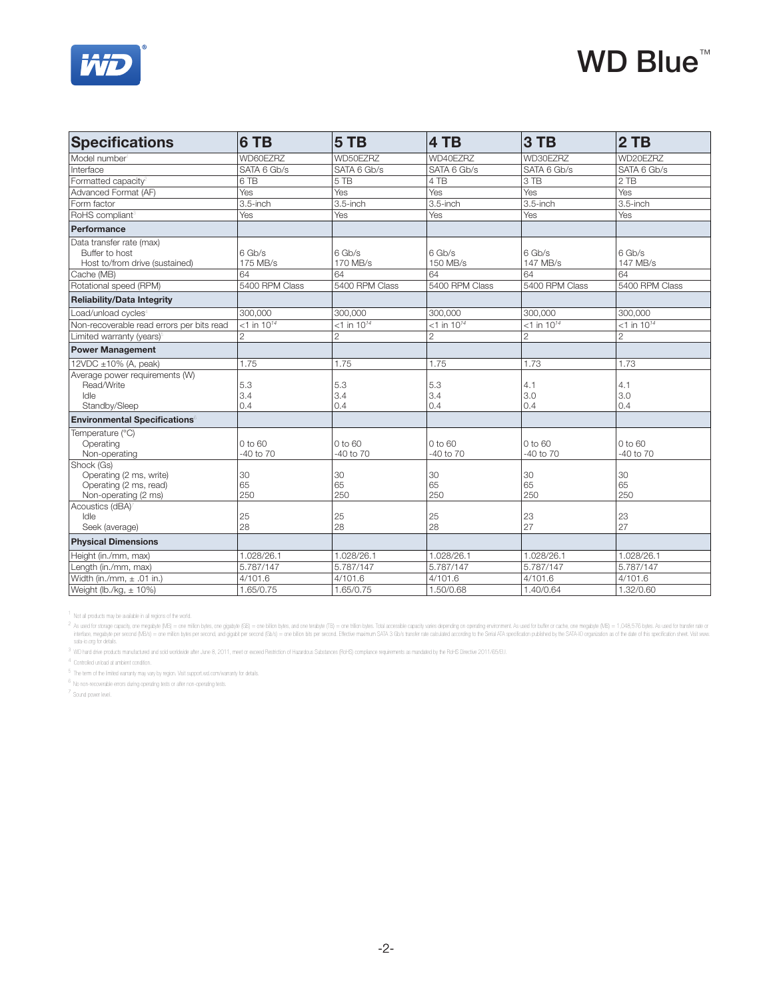

| <b>Specifications</b>                                                                   | 6 TB                      | 5 TB                      | 4 TB                      | 3 TB                      | 2TB                       |
|-----------------------------------------------------------------------------------------|---------------------------|---------------------------|---------------------------|---------------------------|---------------------------|
| Model number                                                                            | WD60EZRZ                  | WD50EZRZ                  | WD40EZRZ                  | WD30EZRZ                  | WD20EZRZ                  |
| Interface                                                                               | SATA 6 Gb/s               | SATA 6 Gb/s               | SATA 6 Gb/s               | SATA 6 Gb/s               | SATA 6 Gb/s               |
| Formatted capacity <sup>2</sup>                                                         | 6 TB                      | 5 TB                      | 4 TB                      | 3 TB                      | 2 TB                      |
| Advanced Format (AF)                                                                    | Yes                       | Yes                       | Yes                       | Yes                       | Yes                       |
| Form factor                                                                             | 3.5-inch                  | 3.5-inch                  | 3.5-inch                  | 3.5-inch                  | 3.5-inch                  |
| RoHS compliant <sup>®</sup>                                                             | Yes                       | Yes                       | Yes                       | Yes                       | Yes                       |
| Performance                                                                             |                           |                           |                           |                           |                           |
| Data transfer rate (max)<br>Buffer to host<br>Host to/from drive (sustained)            | 6 Gb/s<br>175 MB/s        | 6 Gb/s<br>170 MB/s        | 6 Gb/s<br>150 MB/s        | 6 Gb/s<br>147 MB/s        | 6 Gb/s<br>147 MB/s        |
| Cache (MB)                                                                              | 64                        | 64                        | 64                        | 64                        | 64                        |
| Rotational speed (RPM)                                                                  | 5400 RPM Class            | 5400 RPM Class            | 5400 RPM Class            | 5400 RPM Class            | 5400 RPM Class            |
| <b>Reliability/Data Integrity</b>                                                       |                           |                           |                           |                           |                           |
| Load/unload cycles <sup>4</sup>                                                         | 300,000                   | 300.000                   | 300.000                   | 300.000                   | 300.000                   |
| Non-recoverable read errors per bits read                                               | $<$ 1 in 10 <sup>14</sup> | $<$ 1 in 10 <sup>14</sup> | $<$ 1 in 10 <sup>14</sup> | $<$ 1 in 10 <sup>14</sup> | $<$ 1 in 10 <sup>14</sup> |
| Limited warranty (years) <sup>®</sup>                                                   | $\overline{c}$            | $\overline{2}$            | $\overline{2}$            | $\overline{2}$            | $\overline{2}$            |
| <b>Power Management</b>                                                                 |                           |                           |                           |                           |                           |
| 12VDC $\pm$ 10% (A, peak)                                                               | 1.75                      | 1.75                      | 1.75                      | 1.73                      | 1.73                      |
| Average power requirements (W)<br>Read/Write<br>Idle<br>Standby/Sleep                   | 5.3<br>3.4<br>0.4         | 5.3<br>3.4<br>0.4         | 5.3<br>3.4<br>0.4         | 4.1<br>3.0<br>0.4         | 4.1<br>3.0<br>0.4         |
| <b>Environmental Specifications®</b>                                                    |                           |                           |                           |                           |                           |
| Temperature (°C)<br>Operating<br>Non-operating                                          | 0 to 60<br>-40 to 70      | 0 to 60<br>$-40$ to $70$  | 0 to 60<br>$-40$ to $70$  | 0 to 60<br>$-40$ to $70$  | 0 to 60<br>-40 to 70      |
| Shock (Gs)<br>Operating (2 ms, write)<br>Operating (2 ms, read)<br>Non-operating (2 ms) | 30<br>65<br>250           | 30<br>65<br>250           | 30<br>65<br>250           | 30<br>65<br>250           | 30<br>65<br>250           |
| Acoustics (dBA)<br>Idle<br>Seek (average)                                               | 25<br>28                  | 25<br>28                  | 25<br>28                  | 23<br>27                  | 23<br>27                  |
| <b>Physical Dimensions</b>                                                              |                           |                           |                           |                           |                           |
| Height (in./mm, max)                                                                    | 1.028/26.1                | 1.028/26.1                | 1.028/26.1                | 1.028/26.1                | 1.028/26.1                |
| Length (in./mm, max)                                                                    | 5.787/147                 | 5.787/147                 | 5.787/147                 | 5.787/147                 | 5.787/147                 |
| Width (in./mm, $\pm$ .01 in.)                                                           | 4/101.6                   | 4/101.6                   | 4/101.6                   | 4/101.6                   | 4/101.6                   |
| Weight (lb./kg, $\pm$ 10%)                                                              | 1.65/0.75                 | 1.65/0.75                 | 1.50/0.68                 | 1.40/0.64                 | 1.32/0.60                 |

<sup>1</sup> Not all products may be available in all regions of the world.

2 As used for storage agach), one mapply (MB) = one millon bytes, one graphy (GB) = one bytes in the state of the mapply of the state company operating on perating enforment. As used for tutlier or cashes (MB) = 1,048,576

<sup>3</sup> WD hard drive products manufactured and sold worldwide after June 8, 2011, meet or exceed Restriction of Hazardous Substances (RoHS) compliance requirements as mandated by the RoHS Directive 2011/65/EU.

4 Controlled unload at ambient condition.

5 The term of the limited warranty may vary by region. Visit support.wd.com/warranty for details.

 $^6\,$  No non-recoverable errors during operating tests or after non-operating tests.

7 Sound power level.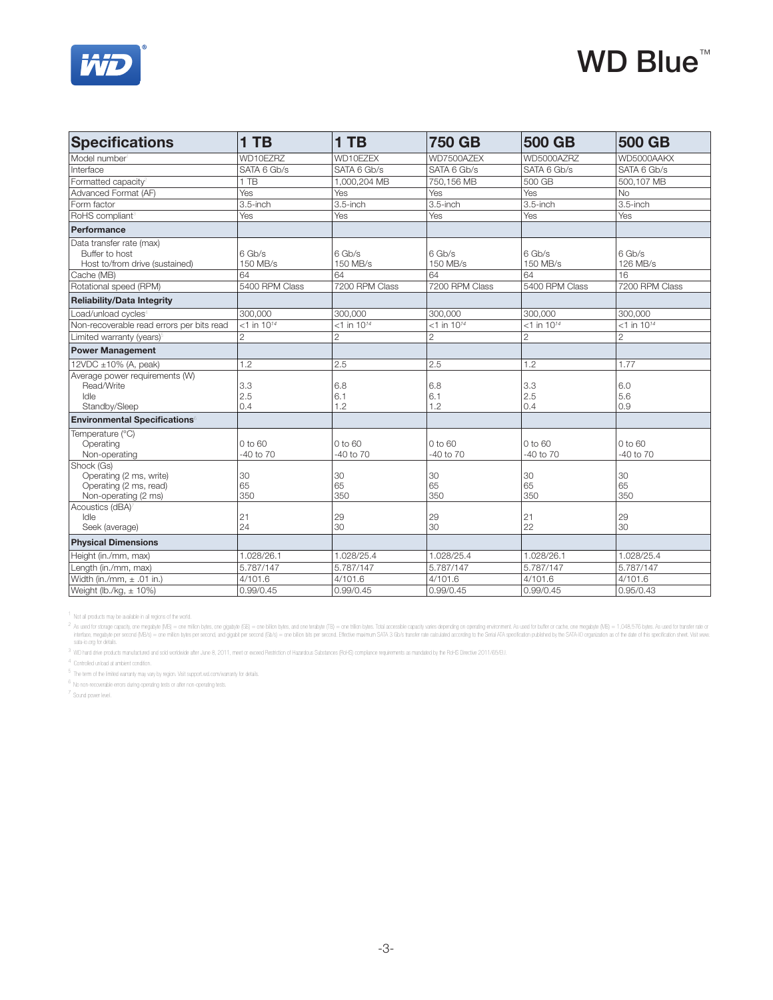

| <b>Specifications</b>                                                                      | 1 TB                      | $1$ TB                     | <b>750 GB</b>             | <b>500 GB</b>             | <b>500 GB</b>             |
|--------------------------------------------------------------------------------------------|---------------------------|----------------------------|---------------------------|---------------------------|---------------------------|
| Model number                                                                               | WD10EZRZ                  | WD10EZEX                   | WD7500AZEX                | WD5000AZRZ                | WD5000AAKX                |
| Interface                                                                                  | SATA 6 Gb/s               | SATA 6 Gb/s                | SATA 6 Gb/s               | SATA 6 Gb/s               | SATA 6 Gb/s               |
| Formatted capacity <sup>®</sup>                                                            | 1 TB                      | 1.000.204 MB               | 750.156 MB                | 500 GB                    | 500.107 MB                |
| Advanced Format (AF)                                                                       | Yes                       | Yes                        | Yes                       | Yes                       | No.                       |
| Form factor                                                                                | 3.5-inch                  | 3.5-inch                   | $3.5$ -inch               | 3.5-inch                  | $3.5$ -inch               |
| RoHS compliant <sup>®</sup>                                                                | Yes                       | Yes                        | Yes                       | Yes                       | Yes                       |
| Performance                                                                                |                           |                            |                           |                           |                           |
| Data transfer rate (max)<br>Buffer to host<br>Host to/from drive (sustained)<br>Cache (MB) | 6 Gb/s<br>150 MB/s<br>64  | $6$ Gb/s<br>150 MB/s<br>64 | 6 Gb/s<br>150 MB/s<br>64  | 6 Gb/s<br>150 MB/s<br>64  | 6 Gb/s<br>126 MB/s<br>16  |
| Rotational speed (RPM)                                                                     | 5400 RPM Class            | 7200 RPM Class             | 7200 RPM Class            | 5400 RPM Class            | 7200 RPM Class            |
| <b>Reliability/Data Integrity</b>                                                          |                           |                            |                           |                           |                           |
| Load/unload cycles <sup>4</sup>                                                            | 300.000                   | 300.000                    | 300.000                   | 300.000                   | 300,000                   |
| Non-recoverable read errors per bits read                                                  | $<$ 1 in 10 <sup>14</sup> | $<$ 1 in 10 <sup>14</sup>  | $<$ 1 in 10 <sup>14</sup> | $<$ 1 in 10 <sup>14</sup> | $<$ 1 in 10 <sup>14</sup> |
| Limited warranty (years)                                                                   | $\overline{2}$            | $\overline{2}$             | $\overline{2}$            | $\overline{2}$            | $\overline{2}$            |
| <b>Power Management</b>                                                                    |                           |                            |                           |                           |                           |
| 12VDC $\pm$ 10% (A, peak)                                                                  | 1.2                       | 2.5                        | 2.5                       | 1.2                       | 1.77                      |
| Average power requirements (W)<br>Read/Write<br>Idle<br>Standby/Sleep                      | 3.3<br>2.5<br>0.4         | 6.8<br>6.1<br>1.2          | 6.8<br>6.1<br>1.2         | 3.3<br>2.5<br>0.4         | 6.0<br>5.6<br>0.9         |
| <b>Environmental Specifications®</b>                                                       |                           |                            |                           |                           |                           |
| Temperature (°C)<br>Operating<br>Non-operating                                             | 0 to 60<br>$-40$ to $70$  | 0 to 60<br>$-40$ to $70$   | 0 to 60<br>$-40$ to $70$  | 0 to 60<br>-40 to 70      | 0 to 60<br>-40 to 70      |
| Shock (Gs)<br>Operating (2 ms, write)<br>Operating (2 ms, read)<br>Non-operating (2 ms)    | 30<br>65<br>350           | 30<br>65<br>350            | 30<br>65<br>350           | 30<br>65<br>350           | 30<br>65<br>350           |
| Acoustics (dBA)<br>Idle<br>Seek (average)                                                  | 21<br>24                  | 29<br>30                   | 29<br>30                  | 21<br>22                  | 29<br>30                  |
| <b>Physical Dimensions</b>                                                                 |                           |                            |                           |                           |                           |
| Height (in./mm, max)                                                                       | 1.028/26.1                | 1.028/25.4                 | 1.028/25.4                | 1.028/26.1                | 1.028/25.4                |
| Length (in./mm, max)                                                                       | 5.787/147                 | 5.787/147                  | 5.787/147                 | 5.787/147                 | 5.787/147                 |
| Width (in./mm, $\pm$ .01 in.)                                                              | 4/101.6                   | 4/101.6                    | 4/101.6                   | 4/101.6                   | 4/101.6                   |
| Weight (lb./kg, $\pm$ 10%)                                                                 | 0.99/0.45                 | 0.99/0.45                  | 0.99/0.45                 | 0.99/0.45                 | 0.95/0.43                 |

<sup>1</sup> Not all products may be available in all regions of the world.

2 As used for storage agach), one mapply (MB) = one millon bytes, one graphy (GB) = one bytes in the state of the mapply of the state company operating on perating enforment. As used for traffect one mapply (MB) = 1,048,57

<sup>3</sup> WD hard drive products manufactured and sold worldwide after June 8, 2011, meet or exceed Restriction of Hazardous Substances (RoHS) compliance requirements as mandated by the RoHS Directive 2011/65/EU.

4 Controlled unload at ambient condition.

<sup>5</sup> The term of the limited warranty may vary by region. Visit support.wd.com/warranty for details.

6 No non-recoverable errors during operating tests or after non-operating tests.

7 Sound power level.